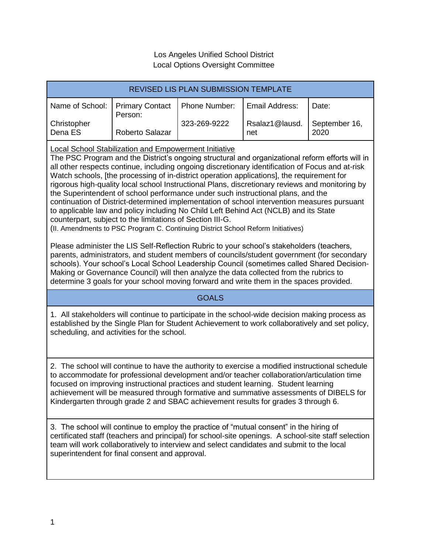## Los Angeles Unified School District Local Options Oversight Committee

| <b>REVISED LIS PLAN SUBMISSION TEMPLATE</b>                                                                                                                                                                                                                                                                                                                                                                                                                                                                                                                                                                                                                                                                                                                                                                                                                                                                                                                                                                                                                                                                                                                                                                                                                                                                                                                                    |                                   |               |                       |                       |
|--------------------------------------------------------------------------------------------------------------------------------------------------------------------------------------------------------------------------------------------------------------------------------------------------------------------------------------------------------------------------------------------------------------------------------------------------------------------------------------------------------------------------------------------------------------------------------------------------------------------------------------------------------------------------------------------------------------------------------------------------------------------------------------------------------------------------------------------------------------------------------------------------------------------------------------------------------------------------------------------------------------------------------------------------------------------------------------------------------------------------------------------------------------------------------------------------------------------------------------------------------------------------------------------------------------------------------------------------------------------------------|-----------------------------------|---------------|-----------------------|-----------------------|
| Name of School:                                                                                                                                                                                                                                                                                                                                                                                                                                                                                                                                                                                                                                                                                                                                                                                                                                                                                                                                                                                                                                                                                                                                                                                                                                                                                                                                                                | <b>Primary Contact</b><br>Person: | Phone Number: | Email Address:        | Date:                 |
| Christopher<br>Dena ES                                                                                                                                                                                                                                                                                                                                                                                                                                                                                                                                                                                                                                                                                                                                                                                                                                                                                                                                                                                                                                                                                                                                                                                                                                                                                                                                                         | Roberto Salazar                   | 323-269-9222  | Rsalaz1@lausd.<br>net | September 16,<br>2020 |
| <b>Local School Stabilization and Empowerment Initiative</b><br>The PSC Program and the District's ongoing structural and organizational reform efforts will in<br>all other respects continue, including ongoing discretionary identification of Focus and at-risk<br>Watch schools, [the processing of in-district operation applications], the requirement for<br>rigorous high-quality local school Instructional Plans, discretionary reviews and monitoring by<br>the Superintendent of school performance under such instructional plans, and the<br>continuation of District-determined implementation of school intervention measures pursuant<br>to applicable law and policy including No Child Left Behind Act (NCLB) and its State<br>counterpart, subject to the limitations of Section III-G.<br>(II. Amendments to PSC Program C. Continuing District School Reform Initiatives)<br>Please administer the LIS Self-Reflection Rubric to your school's stakeholders (teachers,<br>parents, administrators, and student members of councils/student government (for secondary<br>schools). Your school's Local School Leadership Council (sometimes called Shared Decision-<br>Making or Governance Council) will then analyze the data collected from the rubrics to<br>determine 3 goals for your school moving forward and write them in the spaces provided. |                                   |               |                       |                       |
| <b>GOALS</b>                                                                                                                                                                                                                                                                                                                                                                                                                                                                                                                                                                                                                                                                                                                                                                                                                                                                                                                                                                                                                                                                                                                                                                                                                                                                                                                                                                   |                                   |               |                       |                       |
| 1. All stakeholders will continue to participate in the school-wide decision making process as<br>established by the Single Plan for Student Achievement to work collaboratively and set policy,<br>scheduling, and activities for the school.                                                                                                                                                                                                                                                                                                                                                                                                                                                                                                                                                                                                                                                                                                                                                                                                                                                                                                                                                                                                                                                                                                                                 |                                   |               |                       |                       |
| 2. The school will continue to have the authority to exercise a modified instructional schedule<br>to accommodate for professional development and/or teacher collaboration/articulation time<br>focused on improving instructional practices and student learning. Student learning<br>achievement will be measured through formative and summative assessments of DIBELS for<br>Kindergarten through grade 2 and SBAC achievement results for grades 3 through 6.                                                                                                                                                                                                                                                                                                                                                                                                                                                                                                                                                                                                                                                                                                                                                                                                                                                                                                            |                                   |               |                       |                       |
| 3. The school will continue to employ the practice of "mutual consent" in the hiring of<br>certificated staff (teachers and principal) for school-site openings. A school-site staff selection<br>team will work collaboratively to interview and select candidates and submit to the local<br>superintendent for final consent and approval.                                                                                                                                                                                                                                                                                                                                                                                                                                                                                                                                                                                                                                                                                                                                                                                                                                                                                                                                                                                                                                  |                                   |               |                       |                       |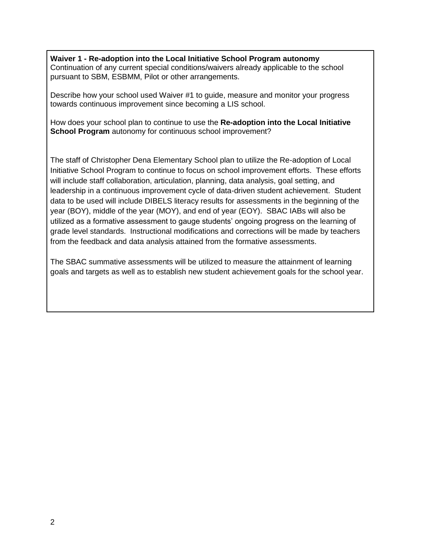**Waiver 1 - Re-adoption into the Local Initiative School Program autonomy** Continuation of any current special conditions/waivers already applicable to the school pursuant to SBM, ESBMM, Pilot or other arrangements.

Describe how your school used Waiver #1 to guide, measure and monitor your progress towards continuous improvement since becoming a LIS school.

How does your school plan to continue to use the **Re-adoption into the Local Initiative School Program** autonomy for continuous school improvement?

The staff of Christopher Dena Elementary School plan to utilize the Re-adoption of Local Initiative School Program to continue to focus on school improvement efforts. These efforts will include staff collaboration, articulation, planning, data analysis, goal setting, and leadership in a continuous improvement cycle of data-driven student achievement. Student data to be used will include DIBELS literacy results for assessments in the beginning of the year (BOY), middle of the year (MOY), and end of year (EOY). SBAC IABs will also be utilized as a formative assessment to gauge students' ongoing progress on the learning of grade level standards. Instructional modifications and corrections will be made by teachers from the feedback and data analysis attained from the formative assessments.

The SBAC summative assessments will be utilized to measure the attainment of learning goals and targets as well as to establish new student achievement goals for the school year.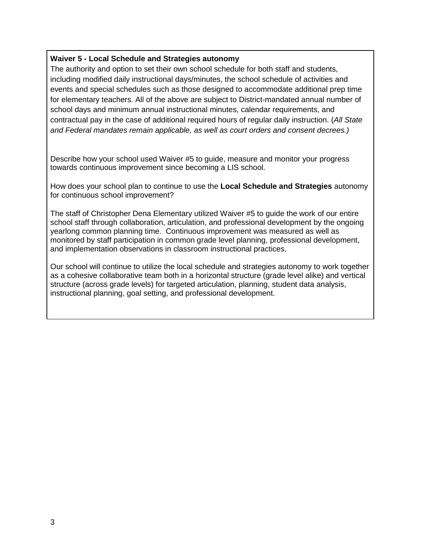## **Waiver 5 - Local Schedule and Strategies autonomy**

The authority and option to set their own school schedule for both staff and students, including modified daily instructional days/minutes, the school schedule of activities and events and special schedules such as those designed to accommodate additional prep time for elementary teachers. All of the above are subject to District-mandated annual number of school days and minimum annual instructional minutes, calendar requirements, and contractual pay in the case of additional required hours of regular daily instruction. (*All State and Federal mandates remain applicable, as well as court orders and consent decrees.)*

Describe how your school used Waiver #5 to guide, measure and monitor your progress towards continuous improvement since becoming a LIS school.

How does your school plan to continue to use the **Local Schedule and Strategies** autonomy for continuous school improvement?

The staff of Christopher Dena Elementary utilized Waiver #5 to guide the work of our entire school staff through collaboration, articulation, and professional development by the ongoing yearlong common planning time. Continuous improvement was measured as well as monitored by staff participation in common grade level planning, professional development, and implementation observations in classroom instructional practices.

Our school will continue to utilize the local schedule and strategies autonomy to work together as a cohesive collaborative team both in a horizontal structure (grade level alike) and vertical structure (across grade levels) for targeted articulation, planning, student data analysis, instructional planning, goal setting, and professional development.